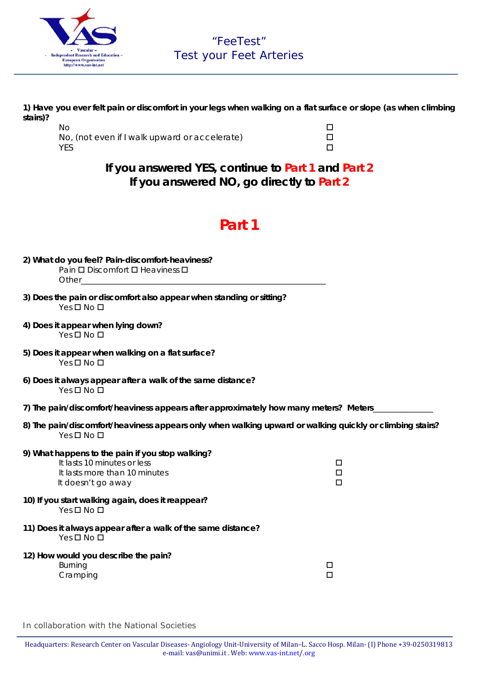

**1) Have you ever felt pain or discomfort in your legs when walking on a flat surface or slope (as when climbing stairs)?**

### **If you answered YES, continue to Part 1 and Part 2 If you answered NO, go directly to Part 2**

# **Part 1**

| 2) What do you feel? Pain-discomfort-heaviness?<br>Pain □ Discomfort □ Heaviness □<br>Other the contract of the contract of the contract of the contract of the contract of the contract of the contract of the contract of the contract of the contract of the contract of the contract of the contract of the cont |                  |
|----------------------------------------------------------------------------------------------------------------------------------------------------------------------------------------------------------------------------------------------------------------------------------------------------------------------|------------------|
| 3) Does the pain or discomfort also appear when standing or sitting?<br>$Yes \Box No \Box$                                                                                                                                                                                                                           |                  |
| 4) Does it appear when lying down?<br>$Yes \Box No \Box$                                                                                                                                                                                                                                                             |                  |
| 5) Does it appear when walking on a flat surface?<br>Yes <b>□</b> No <b>□</b>                                                                                                                                                                                                                                        |                  |
| 6) Does it always appear after a walk of the same distance?<br>Yes <b>O</b> No <b>O</b>                                                                                                                                                                                                                              |                  |
| 7) The pain/discomfort/heaviness appears after approximately how many meters? Meters_                                                                                                                                                                                                                                |                  |
| 8) The pain/discomfort/heaviness appears only when walking upward or walking quickly or climbing stairs?<br>$Yes \Box No \Box$                                                                                                                                                                                       |                  |
| 9) What happens to the pain if you stop walking?<br>It lasts 10 minutes or less<br>It lasts more than 10 minutes<br>It doesn't go away                                                                                                                                                                               | □<br>□<br>$\Box$ |
| 10) If you start walking again, does it reappear?<br>Yes <b>O</b> No <b>O</b>                                                                                                                                                                                                                                        |                  |
| 11) Does it always appear after a walk of the same distance?<br>Yes <b>O</b> No <b>O</b>                                                                                                                                                                                                                             |                  |
| 12) How would you describe the pain?<br><b>Burning</b><br>Cramping                                                                                                                                                                                                                                                   | □<br>□           |

*In collaboration with the National Societies*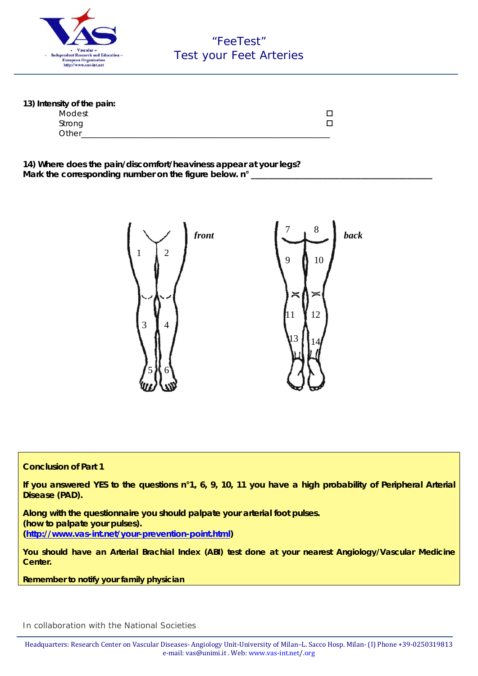

| 13) Intensity of the pain: |  |
|----------------------------|--|
| Modest                     |  |
| Strong                     |  |
| Other                      |  |

**14) Where does the pain/discomfort/heaviness appear at your legs?**  Mark the corresponding number on the figure below. n°



#### **Conclusion of Part 1**

**If you answered YES to the questions n°1, 6, 9, 10, 11 you have a high probability of Peripheral Arterial Disease (PAD).** 

**Along with the questionnaire you should palpate your arterial foot pulses. (how to palpate your pulses). (http://www.vas-int.net/your-prevention-point.html)** 

**You should have an Arterial Brachial Index (ABI) test done at your nearest Angiology/Vascular Medicine Center.** 

*Remember to notify your family physician* 

*In collaboration with the National Societies*